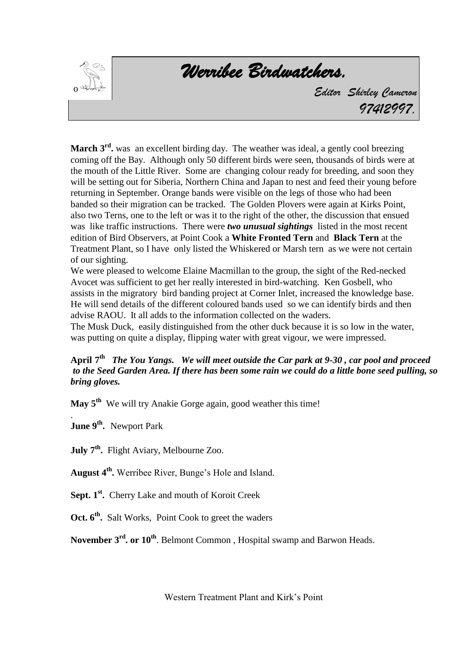

*Werribee Birdwatchers.* 

*Editor Shirley Cameron 97412997.*

March 3<sup>rd</sup>, was an excellent birding day. The weather was ideal, a gently cool breezing coming off the Bay. Although only 50 different birds were seen, thousands of birds were at the mouth of the Little River. Some are changing colour ready for breeding, and soon they will be setting out for Siberia, Northern China and Japan to nest and feed their young before returning in September. Orange bands were visible on the legs of those who had been banded so their migration can be tracked. The Golden Plovers were again at Kirks Point, also two Terns, one to the left or was it to the right of the other, the discussion that ensued was like traffic instructions. There were *two unusual sightings* listed in the most recent edition of Bird Observers, at Point Cook a **White Fronted Tern** and **Black Tern** at the Treatment Plant, so I have only listed the Whiskered or Marsh tern as we were not certain of our sighting.

We were pleased to welcome Elaine Macmillan to the group, the sight of the Red-necked Avocet was sufficient to get her really interested in bird-watching. Ken Gosbell, who assists in the migratory bird banding project at Corner Inlet, increased the knowledge base. He will send details of the different coloured bands used so we can identify birds and then advise RAOU. It all adds to the information collected on the waders.

The Musk Duck, easily distinguished from the other duck because it is so low in the water, was putting on quite a display, flipping water with great vigour, we were impressed.

## **April 7 th** *The You Yangs. We will meet outside the Car park at 9-30 , car pool and proceed to the Seed Garden Area. If there has been some rain we could do a little bone seed pulling, so bring gloves.*

**May 5th** We will try Anakie Gorge again, good weather this time!

. **June 9th .** Newport Park

**July 7th .** Flight Aviary, Melbourne Zoo.

**August 4th .** Werribee River, Bunge's Hole and Island.

**Sept. 1st .** Cherry Lake and mouth of Koroit Creek

**Oct. 6th .** Salt Works, Point Cook to greet the waders

**November 3rd. or 10th**. Belmont Common , Hospital swamp and Barwon Heads.